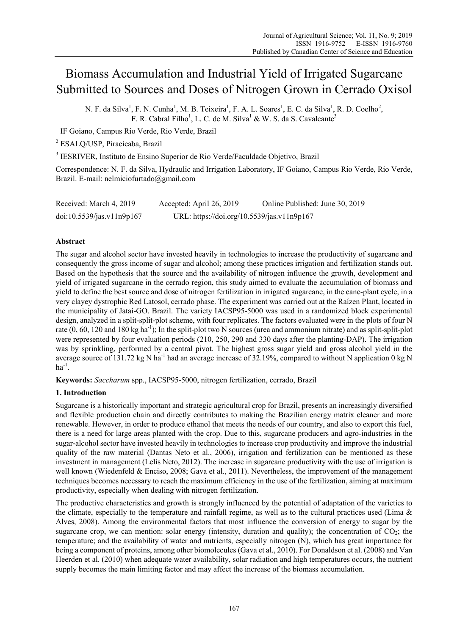# Biomass Accumulation and Industrial Yield of Irrigated Sugarcane Submitted to Sources and Doses of Nitrogen Grown in Cerrado Oxisol

N. F. da Silva<sup>1</sup>, F. N. Cunha<sup>1</sup>, M. B. Teixeira<sup>1</sup>, F. A. L. Soares<sup>1</sup>, E. C. da Silva<sup>1</sup>, R. D. Coelho<sup>2</sup>, F. R. Cabral Filho<sup>1</sup>, L. C. de M. Silva<sup>1</sup> & W. S. da S. Cavalcante<sup>3</sup>

<sup>1</sup> IF Goiano, Campus Rio Verde, Rio Verde, Brazil

2 ESALQ/USP, Piracicaba, Brazil

<sup>3</sup> IESRIVER, Instituto de Ensino Superior de Rio Verde/Faculdade Objetivo, Brazil

Correspondence: N. F. da Silva, Hydraulic and Irrigation Laboratory, IF Goiano, Campus Rio Verde, Rio Verde, Brazil. E-mail: nelmiciofurtado@gmail.com

| Received: March 4, 2019   | Accepted: April 26, 2019                   | Online Published: June 30, 2019 |
|---------------------------|--------------------------------------------|---------------------------------|
| doi:10.5539/jas.v11n9p167 | URL: https://doi.org/10.5539/jas.v11n9p167 |                                 |

# **Abstract**

The sugar and alcohol sector have invested heavily in technologies to increase the productivity of sugarcane and consequently the gross income of sugar and alcohol; among these practices irrigation and fertilization stands out. Based on the hypothesis that the source and the availability of nitrogen influence the growth, development and yield of irrigated sugarcane in the cerrado region, this study aimed to evaluate the accumulation of biomass and yield to define the best source and dose of nitrogen fertilization in irrigated sugarcane, in the cane-plant cycle, in a very clayey dystrophic Red Latosol, cerrado phase. The experiment was carried out at the Raízen Plant, located in the municipality of Jataí-GO. Brazil. The variety IACSP95-5000 was used in a randomized block experimental design, analyzed in a split-split-plot scheme, with four replicates. The factors evaluated were in the plots of four N rate  $(0, 60, 120$  and 180 kg ha<sup>-1</sup>); In the split-plot two N sources (urea and ammonium nitrate) and as split-split-plot were represented by four evaluation periods (210, 250, 290 and 330 days after the planting-DAP). The irrigation was by sprinkling, performed by a central pivot. The highest gross sugar yield and gross alcohol yield in the average source of 131.72 kg N ha<sup>-1</sup> had an average increase of 32.19%, compared to without N application 0 kg N  $ha^{-1}$ .

**Keywords:** *Saccharum* spp., IACSP95-5000, nitrogen fertilization, cerrado, Brazil

# **1. Introduction**

Sugarcane is a historically important and strategic agricultural crop for Brazil, presents an increasingly diversified and flexible production chain and directly contributes to making the Brazilian energy matrix cleaner and more renewable. However, in order to produce ethanol that meets the needs of our country, and also to export this fuel, there is a need for large areas planted with the crop. Due to this, sugarcane producers and agro-industries in the sugar-alcohol sector have invested heavily in technologies to increase crop productivity and improve the industrial quality of the raw material (Dantas Neto et al., 2006), irrigation and fertilization can be mentioned as these investment in management (Lelis Neto, 2012). The increase in sugarcane productivity with the use of irrigation is well known (Wiedenfeld & Enciso, 2008; Gava et al., 2011). Nevertheless, the improvement of the management techniques becomes necessary to reach the maximum efficiency in the use of the fertilization, aiming at maximum productivity, especially when dealing with nitrogen fertilization.

The productive characteristics and growth is strongly influenced by the potential of adaptation of the varieties to the climate, especially to the temperature and rainfall regime, as well as to the cultural practices used (Lima  $\&$ Alves, 2008). Among the environmental factors that most influence the conversion of energy to sugar by the sugarcane crop, we can mention: solar energy (intensity, duration and quality); the concentration of  $CO<sub>2</sub>$ ; the temperature; and the availability of water and nutrients, especially nitrogen (N), which has great importance for being a component of proteins, among other biomolecules (Gava et al., 2010). For Donaldson et al. (2008) and Van Heerden et al. (2010) when adequate water availability, solar radiation and high temperatures occurs, the nutrient supply becomes the main limiting factor and may affect the increase of the biomass accumulation.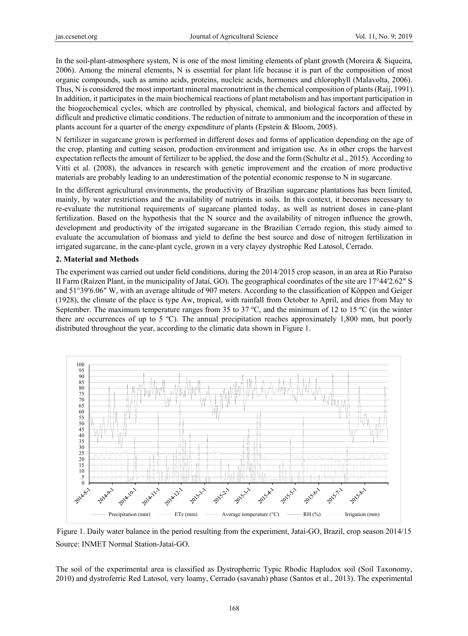In the soil-plant-atmosphere system, N is one of the most limiting elements of plant growth (Moreira & Siqueira, 2006). Among the mineral elements, N is essential for plant life because it is part of the composition of most organic compounds, such as amino acids, proteins, nucleic acids, hormones and chlorophyll (Malavolta, 2006). Thus, N is considered the most important mineral macronutrient in the chemical composition of plants (Raij, 1991). In addition, it participates in the main biochemical reactions of plant metabolism and has important participation in the biogeochemical cycles, which are controlled by physical, chemical, and biological factors and affected by difficult and predictive climatic conditions. The reduction of nitrate to ammonium and the incorporation of these in plants account for a quarter of the energy expenditure of plants (Epstein & Bloom, 2005).

N fertilizer in sugarcane grown is performed in different doses and forms of application depending on the age of the crop, planting and cutting season, production environment and irrigation use. As in other crops the harvest expectation reflects the amount of fertilizer to be applied, the dose and the form (Schultz et al., 2015). According to Vitti et al. (2008), the advances in research with genetic improvement and the creation of more productive materials are probably leading to an underestimation of the potential economic response to N in sugarcane.

In the different agricultural environments, the productivity of Brazilian sugarcane plantations has been limited, mainly, by water restrictions and the availability of nutrients in soils. In this context, it becomes necessary to re-evaluate the nutritional requirements of sugarcane planted today, as well as nutrient doses in cane-plant fertilization. Based on the hypothesis that the N source and the availability of nitrogen influence the growth, development and productivity of the irrigated sugarcane in the Brazilian Cerrado region, this study aimed to evaluate the accumulation of biomass and yield to define the best source and dose of nitrogen fertilization in irrigated sugarcane, in the cane-plant cycle, grown in a very clayey dystrophic Red Latosol, Cerrado.

## **2. Material and Methods**

The experiment was carried out under field conditions, during the 2014/2015 crop season, in an area at Rio Paraíso II Farm (Raízen Plant, in the municipality of Jataí, GO). The geographical coordinates of the site are 17°44′2.62″ S and 51°39′6.06″ W, with an average altitude of 907 meters. According to the classification of Köppen and Geiger (1928), the climate of the place is type Aw, tropical, with rainfall from October to April, and dries from May to September. The maximum temperature ranges from 35 to 37 ºC, and the minimum of 12 to 15 ºC (in the winter there are occurrences of up to 5 ºC). The annual precipitation reaches approximately 1,800 mm, but poorly distributed throughout the year, according to the climatic data shown in Figure 1.



Figure 1. Daily water balance in the period resulting from the experiment, Jataí-GO, Brazil, crop season 2014/15 Source: INMET Normal Station-Jataí-GO.

The soil of the experimental area is classified as Dystropherric Typic Rhodic Hapludox soil (Soil Taxonomy, 2010) and dystroferric Red Latosol, very loamy, Cerrado (savanah) phase (Santos et al., 2013). The experimental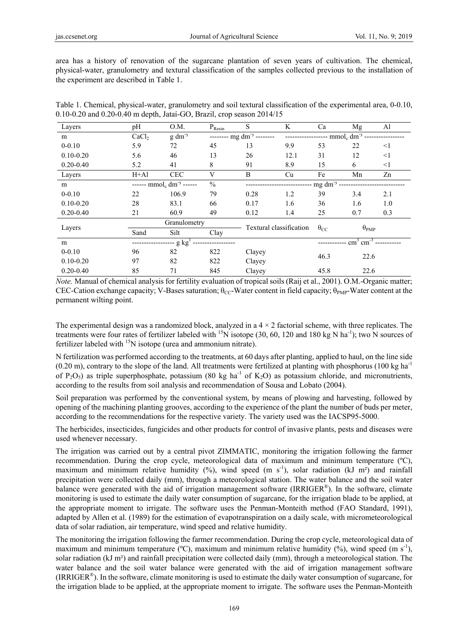area has a history of renovation of the sugarcane plantation of seven years of cultivation. The chemical, physical-water, granulometry and textural classification of the samples collected previous to the installation of the experiment are described in Table 1.

| Table 1. Chemical, physical-water, granulometry and soil textural classification of the experimental area, 0-0.10, |  |
|--------------------------------------------------------------------------------------------------------------------|--|
| $0.10 - 0.20$ and $0.20 - 0.40$ m depth, Jatai-GO, Brazil, crop season $2014/15$                                   |  |

| Layers        | pH                   | O.M.                           | $P_{Resin}$             | S                              | K                   | Ca                      | Mg                                  | Al       |  |
|---------------|----------------------|--------------------------------|-------------------------|--------------------------------|---------------------|-------------------------|-------------------------------------|----------|--|
| m             | CaCl <sub>2</sub>    | $g \, dm^{-3}$                 |                         | -------- mg $dm^{-3}$ -------- |                     |                         | ------------------ $mmolc dm-3$ --- |          |  |
| $0 - 0.10$    | 5.9                  | 72                             | 45                      | 13                             | 9.9                 | 53                      | 22                                  | $\leq$ 1 |  |
| $0.10 - 0.20$ | 5.6                  | 46                             | 13                      | 26                             | 12.1                | 31                      | 12                                  | $\leq$ 1 |  |
| $0.20 - 0.40$ | 5.2                  | 41                             | 8                       | 91                             | 8.9                 | 15                      | 6                                   | $\leq$ 1 |  |
| Layers        | $H+A1$               | <b>CEC</b>                     | V                       | B                              | Cu                  | Fe                      | Mn                                  | Zn       |  |
| m             |                      | ------ $mmol_c dm^{-3}$ ------ | $\frac{0}{0}$           |                                | $mg \, dm^{-3}$ --- |                         |                                     |          |  |
| $0 - 0.10$    | 22                   | 106.9                          | 79                      | 0.28                           | 1.2                 | 39                      | 3.4                                 | 2.1      |  |
| $0.10 - 0.20$ | 28                   | 83.1                           | 66                      | 0.17                           | 1.6                 | 36                      | 1.6                                 | 1.0      |  |
| $0.20 - 0.40$ | 21                   | 60.9                           | 49                      | 0.12                           | 1.4                 | 25                      | 0.7                                 | 0.3      |  |
| Layers        | Granulometry         |                                | Textural classification |                                |                     | $\theta_{\mathrm{PMP}}$ |                                     |          |  |
|               | Sand                 | Silt                           | Clay                    |                                |                     | $\theta_{\rm CC}$       |                                     |          |  |
| m             | -- g kg <sup>1</sup> |                                |                         |                                |                     |                         | $\text{cm}^3 \text{ cm}^{-3}$       |          |  |
| $0 - 0.10$    | 96                   | 82                             | 822                     | Clayey                         | 46.3                |                         | 22.6                                |          |  |
| $0.10 - 0.20$ | 97                   | 82                             | 822                     | Clayey                         |                     |                         |                                     |          |  |
| $0.20 - 0.40$ | 85                   | 71                             | 845                     | Clayey                         |                     | 45.8                    | 22.6                                |          |  |

*Note.* Manual of chemical analysis for fertility evaluation of tropical soils (Raij et al., 2001). O.M.-Organic matter; CEC-Cation exchange capacity; V-Bases saturation;  $\theta_{CC}$ -Water content in field capacity;  $\theta_{PMP}$ -Water content at the permanent wilting point.

The experimental design was a randomized block, analyzed in a  $4 \times 2$  factorial scheme, with three replicates. The treatments were four rates of fertilizer labeled with <sup>15</sup>N isotope (30, 60, 120 and 180 kg N ha<sup>-1</sup>); two N sources of fertilizer labeled with  $15N$  isotope (urea and ammonium nitrate).

N fertilization was performed according to the treatments, at 60 days after planting, applied to haul, on the line side  $(0.20 \text{ m})$ , contrary to the slope of the land. All treatments were fertilized at planting with phosphorus (100 kg ha<sup>-1</sup>) of P<sub>2</sub>O<sub>5</sub>) as triple superphosphate, potassium (80 kg ha<sup>-1</sup> of K<sub>2</sub>O) as potassium chloride, and micronutrients, according to the results from soil analysis and recommendation of Sousa and Lobato (2004).

Soil preparation was performed by the conventional system, by means of plowing and harvesting, followed by opening of the machining planting grooves, according to the experience of the plant the number of buds per meter, according to the recommendations for the respective variety. The variety used was the IACSP95-5000.

The herbicides, insecticides, fungicides and other products for control of invasive plants, pests and diseases were used whenever necessary.

The irrigation was carried out by a central pivot ZIMMATIC, monitoring the irrigation following the farmer recommendation. During the crop cycle, meteorological data of maximum and minimum temperature (ºC), maximum and minimum relative humidity  $(\frac{9}{6})$ , wind speed (m s<sup>-1</sup>), solar radiation (kJ m<sup>2</sup>) and rainfall precipitation were collected daily (mm), through a meteorological station. The water balance and the soil water balance were generated with the aid of irrigation management software (IRRIGER®). In the software, climate monitoring is used to estimate the daily water consumption of sugarcane, for the irrigation blade to be applied, at the appropriate moment to irrigate. The software uses the Penman-Monteith method (FAO Standard, 1991), adapted by Allen et al. (1989) for the estimation of evapotranspiration on a daily scale, with micrometeorological data of solar radiation, air temperature, wind speed and relative humidity.

The monitoring the irrigation following the farmer recommendation. During the crop cycle, meteorological data of maximum and minimum temperature ( $^{\circ}$ C), maximum and minimum relative humidity (%), wind speed (m s<sup>-1</sup>), solar radiation (kJ m<sup>2</sup>) and rainfall precipitation were collected daily (mm), through a meteorological station. The water balance and the soil water balance were generated with the aid of irrigation management software (IRRIGER®). In the software, climate monitoring is used to estimate the daily water consumption of sugarcane, for the irrigation blade to be applied, at the appropriate moment to irrigate. The software uses the Penman-Monteith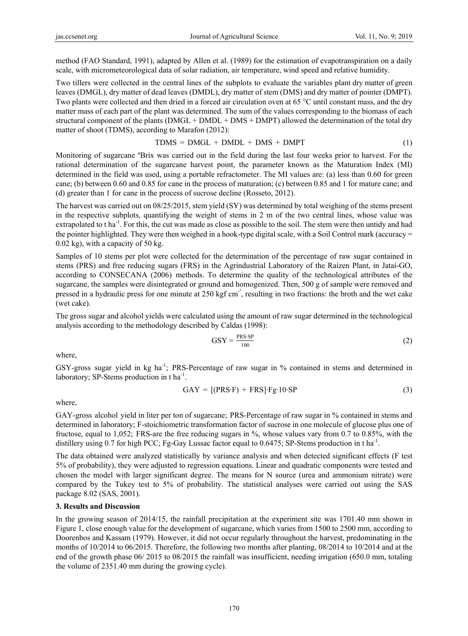method (FAO Standard, 1991), adapted by Allen et al. (1989) for the estimation of evapotranspiration on a daily scale, with micrometeorological data of solar radiation, air temperature, wind speed and relative humidity.

Two tillers were collected in the central lines of the subplots to evaluate the variables plant dry matter of green leaves (DMGL), dry matter of dead leaves (DMDL), dry matter of stem (DMS) and dry matter of pointer (DMPT). Two plants were collected and then dried in a forced air circulation oven at 65 °C until constant mass, and the dry matter mass of each part of the plant was determined. The sum of the values corresponding to the biomass of each structural component of the plants (DMGL + DMDL + DMS + DMPT) allowed the determination of the total dry matter of shoot (TDMS), according to Marafon (2012):

$$
TDMS = DMGL + DMDL + DMS + DMPT \tag{1}
$$

Monitoring of sugarcane ºBrix was carried out in the field during the last four weeks prior to harvest. For the rational determination of the sugarcane harvest point, the parameter known as the Maturation Index (MI) determined in the field was used, using a portable refractometer. The MI values are: (a) less than 0.60 for green cane; (b) between 0.60 and 0.85 for cane in the process of maturation; (c) between 0.85 and 1 for mature cane; and (d) greater than 1 for cane in the process of sucrose decline (Rosseto, 2012).

The harvest was carried out on 08/25/2015, stem yield (SY) was determined by total weighing of the stems present in the respective subplots, quantifying the weight of stems in 2 m of the two central lines, whose value was extrapolated to t ha<sup>-1</sup>. For this, the cut was made as close as possible to the soil. The stem were then untidy and had the pointer highlighted. They were then weighed in a hook-type digital scale, with a Soil Control mark (accuracy = 0.02 kg), with a capacity of 50 kg.

Samples of 10 stems per plot were collected for the determination of the percentage of raw sugar contained in stems (PRS) and free reducing sugars (FRS) in the Agrindustrial Laboratory of the Raízen Plant, in Jataí-GO, according to CONSECANA (2006) methods. To determine the quality of the technological attributes of the sugarcane, the samples were disintegrated or ground and homogenized. Then, 500 g of sample were removed and pressed in a hydraulic press for one minute at 250 kgf cm-², resulting in two fractions: the broth and the wet cake (wet cake).

The gross sugar and alcohol yields were calculated using the amount of raw sugar determined in the technological analysis according to the methodology described by Caldas (1998):

$$
GSY = \frac{PRS \cdot SP}{100} \tag{2}
$$

where,

GSY-gross sugar yield in kg ha<sup>-1</sup>; PRS-Percentage of raw sugar in % contained in stems and determined in laboratory; SP-Stems production in t ha<sup>-1</sup>.

$$
GAY = [(PRS \cdot F) + FRS] \cdot Fg \cdot 10 \cdot SP \tag{3}
$$

where,

GAY-gross alcohol yield in liter per ton of sugarcane; PRS-Percentage of raw sugar in % contained in stems and determined in laboratory; F-stoichiometric transformation factor of sucrose in one molecule of glucose plus one of fructose, equal to 1,052; FRS-are the free reducing sugars in %, whose values vary from 0.7 to 0.85%, with the distillery using 0.7 for high PCC; Fg-Gay Lussac factor equal to 0.6475; SP-Stems production in t ha<sup>-1</sup>.

The data obtained were analyzed statistically by variance analysis and when detected significant effects (F test 5% of probability), they were adjusted to regression equations. Linear and quadratic components were tested and chosen the model with larger significant degree. The means for N source (urea and ammonium nitrate) were compared by the Tukey test to 5% of probability. The statistical analyses were carried out using the SAS package 8.02 (SAS, 2001).

## **3. Results and Discussion**

In the growing season of 2014/15, the rainfall precipitation at the experiment site was 1701.40 mm shown in Figure 1, close enough value for the development of sugarcane, which varies from 1500 to 2500 mm, according to Doorenbos and Kassam (1979). However, it did not occur regularly throughout the harvest, predominating in the months of 10/2014 to 06/2015. Therefore, the following two months after planting, 08/2014 to 10/2014 and at the end of the growth phase 06/ 2015 to 08/2015 the rainfall was insufficient, needing irrigation (650.0 mm, totaling the volume of 2351.40 mm during the growing cycle).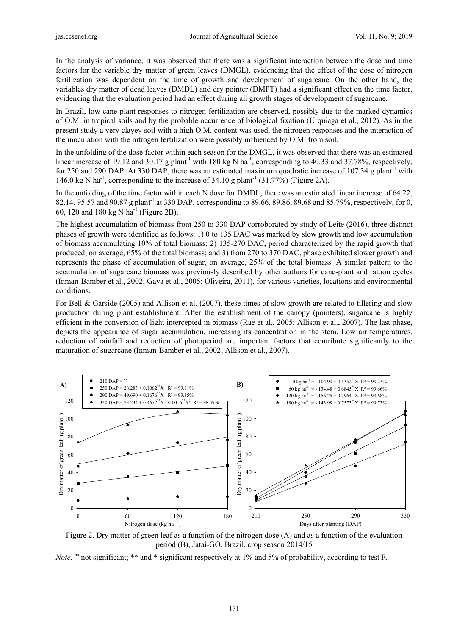In the analysis of variance, it was observed that there was a significant interaction between the dose and time factors for the variable dry matter of green leaves (DMGL), evidencing that the effect of the dose of nitrogen fertilization was dependent on the time of growth and development of sugarcane. On the other hand, the variables dry matter of dead leaves (DMDL) and dry pointer (DMPT) had a significant effect on the time factor, evidencing that the evaluation period had an effect during all growth stages of development of sugarcane.

In Brazil, low cane-plant responses to nitrogen fertilization are observed, possibly due to the marked dynamics of O.M. in tropical soils and by the probable occurrence of biological fixation (Urquiaga et al., 2012). As in the present study a very clayey soil with a high O.M. content was used, the nitrogen responses and the interaction of the inoculation with the nitrogen fertilization were possibly influenced by O.M. from soil.

In the unfolding of the dose factor within each season for the DMGL, it was observed that there was an estimated linear increase of 19.12 and 30.17 g plant<sup>-1</sup> with 180 kg N ha<sup>-1</sup>, corresponding to 40.33 and 37.78%, respectively, for 250 and 290 DAP. At 330 DAP, there was an estimated maximum quadratic increase of 107.34 g plant<sup>-1</sup> with 146.0 kg N ha<sup>-1</sup>, corresponding to the increase of 34.10 g plant<sup>-1</sup> (31.77%) (Figure 2A).

In the unfolding of the time factor within each N dose for DMDL, there was an estimated linear increase of 64.22, 82.14, 95.57 and 90.87 g plant<sup>-1</sup> at 330 DAP, corresponding to 89.66, 89.86, 89.68 and 85.79%, respectively, for 0, 60, 120 and 180 kg N ha<sup>-1</sup> (Figure 2B).

The highest accumulation of biomass from 250 to 330 DAP corroborated by study of Leite (2016), three distinct phases of growth were identified as follows: 1) 0 to 135 DAC was marked by slow growth and low accumulation of biomass accumulating 10% of total biomass; 2) 135-270 DAC, period characterized by the rapid growth that produced, on average, 65% of the total biomass; and 3) from 270 to 370 DAC, phase exhibited slower growth and represents the phase of accumulation of sugar, on average, 25% of the total biomass. A similar pattern to the accumulation of sugarcane biomass was previously described by other authors for cane-plant and ratoon cycles (Inman-Bamber et al., 2002; Gava et al., 2005; Oliveira, 2011), for various varieties, locations and environmental conditions.

For Bell & Garside (2005) and Allison et al. (2007), these times of slow growth are related to tillering and slow production during plant establishment. After the establishment of the canopy (pointers), sugarcane is highly efficient in the conversion of light intercepted in biomass (Rae et al., 2005; Allison et al., 2007). The last phase, depicts the appearance of sugar accumulation, increasing its concentration in the stem. Low air temperatures, reduction of rainfall and reduction of photoperiod are important factors that contribute significantly to the maturation of sugarcane (Inman-Bamber et al., 2002; Allison et al., 2007).



Figure 2. Dry matter of green leaf as a function of the nitrogen dose (A) and as a function of the evaluation period (B), Jataí-GO, Brazil, crop season 2014/15

*Note.* <sup>ns</sup> not significant; \*\* and \* significant respectively at 1% and 5% of probability, according to test F.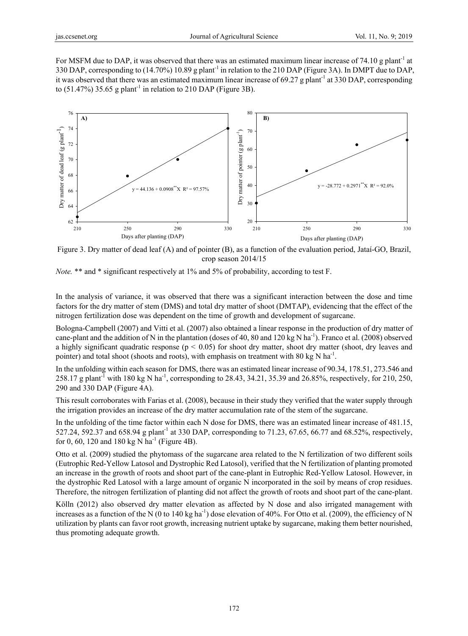For MSFM due to DAP, it was observed that there was an estimated maximum linear increase of 74.10 g plant<sup>-1</sup> at 330 DAP, corresponding to (14.70%) 10.89 g plant-1 in relation to the 210 DAP (Figure 3A). In DMPT due to DAP, it was observed that there was an estimated maximum linear increase of 69.27 g plant<sup>-1</sup> at 330 DAP, corresponding to  $(51.47\%)$  35.65 g plant<sup>-1</sup> in relation to 210 DAP (Figure 3B).



Figure 3. Dry matter of dead leaf (A) and of pointer (B), as a function of the evaluation period, Jataí-GO, Brazil, crop season 2014/15

*Note.* \*\* and \* significant respectively at 1% and 5% of probability, according to test F.

In the analysis of variance, it was observed that there was a significant interaction between the dose and time factors for the dry matter of stem (DMS) and total dry matter of shoot (DMTAP), evidencing that the effect of the nitrogen fertilization dose was dependent on the time of growth and development of sugarcane.

Bologna-Campbell (2007) and Vitti et al. (2007) also obtained a linear response in the production of dry matter of cane-plant and the addition of N in the plantation (doses of 40, 80 and 120 kg N ha<sup>-1</sup>). Franco et al. (2008) observed a highly significant quadratic response ( $p < 0.05$ ) for shoot dry matter, shoot dry matter (shoot, dry leaves and pointer) and total shoot (shoots and roots), with emphasis on treatment with 80 kg N ha<sup>-1</sup>.

In the unfolding within each season for DMS, there was an estimated linear increase of 90.34, 178.51, 273.546 and 258.17 g plant<sup>-1</sup> with 180 kg N ha<sup>-1</sup>, corresponding to 28.43, 34.21, 35.39 and 26.85%, respectively, for 210, 250, 290 and 330 DAP (Figure 4A).

This result corroborates with Farias et al. (2008), because in their study they verified that the water supply through the irrigation provides an increase of the dry matter accumulation rate of the stem of the sugarcane.

In the unfolding of the time factor within each N dose for DMS, there was an estimated linear increase of 481.15, 527.24, 592.37 and 658.94 g plant<sup>-1</sup> at 330 DAP, corresponding to 71.23, 67.65, 66.77 and 68.52%, respectively, for 0, 60, 120 and 180 kg N ha<sup>-1</sup> (Figure 4B).

Otto et al. (2009) studied the phytomass of the sugarcane area related to the N fertilization of two different soils (Eutrophic Red-Yellow Latosol and Dystrophic Red Latosol), verified that the N fertilization of planting promoted an increase in the growth of roots and shoot part of the cane-plant in Eutrophic Red-Yellow Latosol. However, in the dystrophic Red Latosol with a large amount of organic N incorporated in the soil by means of crop residues. Therefore, the nitrogen fertilization of planting did not affect the growth of roots and shoot part of the cane-plant.

Kölln (2012) also observed dry matter elevation as affected by N dose and also irrigated management with increases as a function of the N (0 to 140 kg ha<sup>-1</sup>) dose elevation of 40%. For Otto et al. (2009), the efficiency of N utilization by plants can favor root growth, increasing nutrient uptake by sugarcane, making them better nourished, thus promoting adequate growth.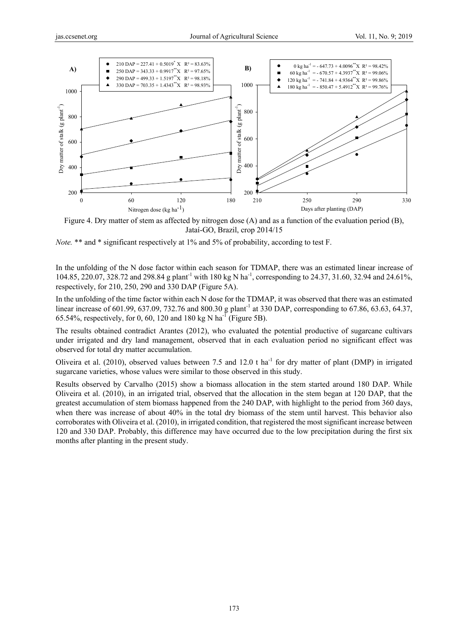

Figure 4. Dry matter of stem as affected by nitrogen dose (A) and as a function of the evaluation period (B), Jataí-GO, Brazil, crop 2014/15

*Note.* \*\* and \* significant respectively at 1% and 5% of probability, according to test F.

In the unfolding of the N dose factor within each season for TDMAP, there was an estimated linear increase of 104.85, 220.07, 328.72 and 298.84 g plant<sup>-1</sup> with 180 kg N ha<sup>-1</sup>, corresponding to 24.37, 31.60, 32.94 and 24.61%, respectively, for 210, 250, 290 and 330 DAP (Figure 5A).

In the unfolding of the time factor within each N dose for the TDMAP, it was observed that there was an estimated linear increase of 601.99, 637.09, 732.76 and 800.30 g plant<sup>-1</sup> at 330 DAP, corresponding to 67.86, 63.63, 64.37, 65.54%, respectively, for 0, 60, 120 and 180 kg N ha<sup>-1</sup> (Figure 5B).

The results obtained contradict Arantes (2012), who evaluated the potential productive of sugarcane cultivars under irrigated and dry land management, observed that in each evaluation period no significant effect was observed for total dry matter accumulation.

Oliveira et al. (2010), observed values between 7.5 and 12.0 t ha<sup>-1</sup> for dry matter of plant (DMP) in irrigated sugarcane varieties, whose values were similar to those observed in this study.

Results observed by Carvalho (2015) show a biomass allocation in the stem started around 180 DAP. While Oliveira et al. (2010), in an irrigated trial, observed that the allocation in the stem began at 120 DAP, that the greatest accumulation of stem biomass happened from the 240 DAP, with highlight to the period from 360 days, when there was increase of about 40% in the total dry biomass of the stem until harvest. This behavior also corroborates with Oliveira et al. (2010), in irrigated condition, that registered the most significant increase between 120 and 330 DAP. Probably, this difference may have occurred due to the low precipitation during the first six months after planting in the present study.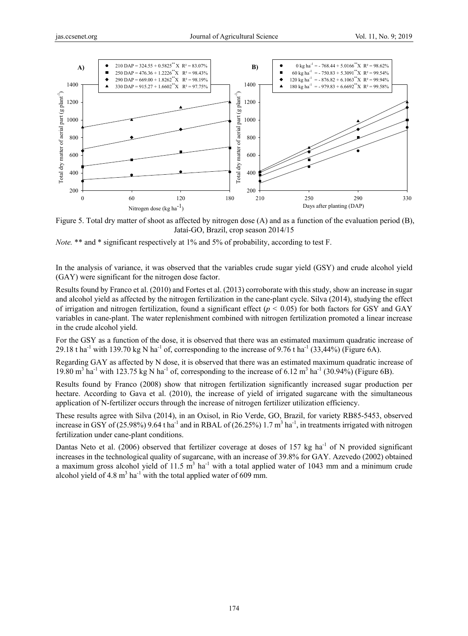

Figure 5. Total dry matter of shoot as affected by nitrogen dose (A) and as a function of the evaluation period (B), Jataí-GO, Brazil, crop season 2014/15

*Note.* \*\* and \* significant respectively at 1% and 5% of probability, according to test F.

In the analysis of variance, it was observed that the variables crude sugar yield (GSY) and crude alcohol yield (GAY) were significant for the nitrogen dose factor.

Results found by Franco et al. (2010) and Fortes et al. (2013) corroborate with this study, show an increase in sugar and alcohol yield as affected by the nitrogen fertilization in the cane-plant cycle. Silva (2014), studying the effect of irrigation and nitrogen fertilization, found a significant effect  $(p < 0.05)$  for both factors for GSY and GAY variables in cane-plant. The water replenishment combined with nitrogen fertilization promoted a linear increase in the crude alcohol yield.

For the GSY as a function of the dose, it is observed that there was an estimated maximum quadratic increase of 29.18 t ha<sup>-1</sup> with 139.70 kg N ha<sup>-1</sup> of, corresponding to the increase of 9.76 t ha<sup>-1</sup> (33,44%) (Figure 6A).

Regarding GAY as affected by N dose, it is observed that there was an estimated maximum quadratic increase of 19.80 m<sup>3</sup> ha<sup>-1</sup> with 123.75 kg N ha<sup>-1</sup> of, corresponding to the increase of 6.12 m<sup>3</sup> ha<sup>-1</sup> (30.94%) (Figure 6B).

Results found by Franco (2008) show that nitrogen fertilization significantly increased sugar production per hectare. According to Gava et al. (2010), the increase of yield of irrigated sugarcane with the simultaneous application of N-fertilizer occurs through the increase of nitrogen fertilizer utilization efficiency.

These results agree with Silva (2014), in an Oxisol, in Rio Verde, GO, Brazil, for variety RB85-5453, observed increase in GSY of (25.98%) 9.64 t ha<sup>-1</sup> and in RBAL of (26.25%) 1.7 m<sup>3</sup> ha<sup>-1</sup>, in treatments irrigated with nitrogen fertilization under cane-plant conditions.

Dantas Neto et al. (2006) observed that fertilizer coverage at doses of 157 kg ha<sup>-1</sup> of N provided significant increases in the technological quality of sugarcane, with an increase of 39.8% for GAY. Azevedo (2002) obtained a maximum gross alcohol yield of 11.5  $m<sup>3</sup>$  ha<sup>-1</sup> with a total applied water of 1043 mm and a minimum crude alcohol yield of 4.8  $m<sup>3</sup>$  ha<sup>-1</sup> with the total applied water of 609 mm.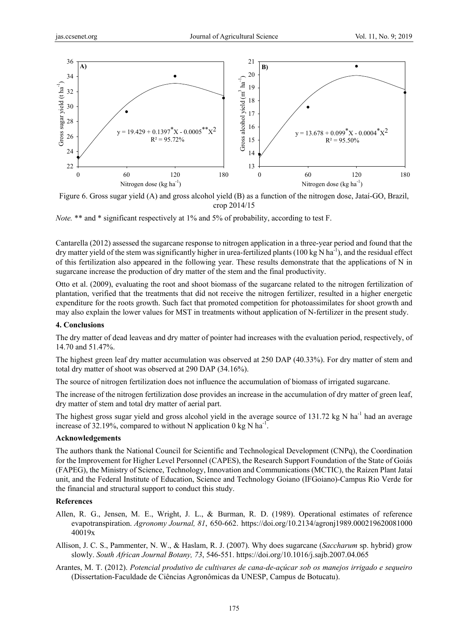

Figure 6. Gross sugar yield (A) and gross alcohol yield (B) as a function of the nitrogen dose, Jataí-GO, Brazil, crop 2014/15

*Note.* \*\* and \* significant respectively at 1% and 5% of probability, according to test F.

Cantarella (2012) assessed the sugarcane response to nitrogen application in a three-year period and found that the dry matter yield of the stem was significantly higher in urea-fertilized plants (100 kg N ha<sup>-1</sup>), and the residual effect of this fertilization also appeared in the following year. These results demonstrate that the applications of N in sugarcane increase the production of dry matter of the stem and the final productivity.

Otto et al. (2009), evaluating the root and shoot biomass of the sugarcane related to the nitrogen fertilization of plantation, verified that the treatments that did not receive the nitrogen fertilizer, resulted in a higher energetic expenditure for the roots growth. Such fact that promoted competition for photoassimilates for shoot growth and may also explain the lower values for MST in treatments without application of N-fertilizer in the present study.

### **4. Conclusions**

The dry matter of dead leaveas and dry matter of pointer had increases with the evaluation period, respectively, of 14.70 and 51.47%.

The highest green leaf dry matter accumulation was observed at 250 DAP (40.33%). For dry matter of stem and total dry matter of shoot was observed at 290 DAP (34.16%).

The source of nitrogen fertilization does not influence the accumulation of biomass of irrigated sugarcane.

The increase of the nitrogen fertilization dose provides an increase in the accumulation of dry matter of green leaf, dry matter of stem and total dry matter of aerial part.

The highest gross sugar yield and gross alcohol yield in the average source of 131.72 kg N ha<sup>-1</sup> had an average increase of 32.19%, compared to without N application 0 kg N ha<sup>-1</sup>.

### **Acknowledgements**

The authors thank the National Council for Scientific and Technological Development (CNPq), the Coordination for the Improvement for Higher Level Personnel (CAPES), the Research Support Foundation of the State of Goiás (FAPEG), the Ministry of Science, Technology, Innovation and Communications (MCTIC), the Raízen Plant Jataí unit, and the Federal Institute of Education, Science and Technology Goiano (IFGoiano)-Campus Rio Verde for the financial and structural support to conduct this study.

#### **References**

- Allen, R. G., Jensen, M. E., Wright, J. L., & Burman, R. D. (1989). Operational estimates of reference evapotranspiration. *Agronomy Journal, 81*, 650-662. https://doi.org/10.2134/agronj1989.000219620081000 40019x
- Allison, J. C. S., Pammenter, N. W., & Haslam, R. J. (2007). Why does sugarcane (*Saccharum* sp. hybrid) grow slowly. *South African Journal Botany, 73*, 546-551. https://doi.org/10.1016/j.sajb.2007.04.065
- Arantes, M. T. (2012). *Potencial produtivo de cultivares de cana-de-açúcar sob os manejos irrigado e sequeiro* (Dissertation-Faculdade de Ciências Agronômicas da UNESP, Campus de Botucatu).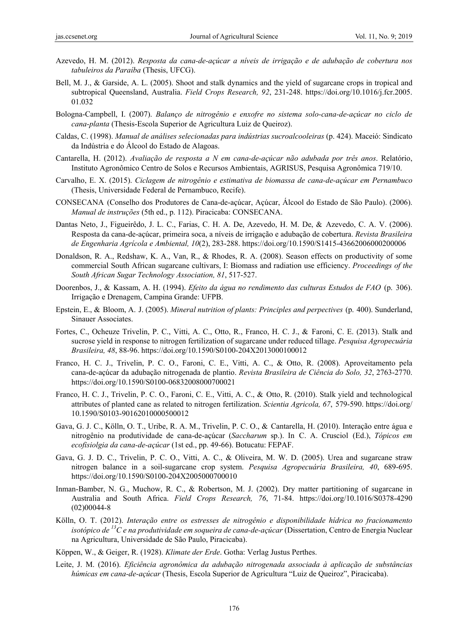- Azevedo, H. M. (2012). *Resposta da cana-de-açúcar a níveis de irrigação e de adubação de cobertura nos tabuleiros da Paraíba* (Thesis, UFCG).
- Bell, M. J., & Garside, A. L. (2005). Shoot and stalk dynamics and the yield of sugarcane crops in tropical and subtropical Queensland, Australia. *Field Crops Research, 92*, 231-248. https://doi.org/10.1016/j.fcr.2005. 01.032
- Bologna-Campbell, I. (2007). *Balanço de nitrogênio e enxofre no sistema solo-cana-de-açúcar no ciclo de cana-planta* (Thesis-Escola Superior de Agricultura Luiz de Queiroz).
- Caldas, C. (1998). *Manual de análises selecionadas para indústrias sucroalcooleiras* (p. 424). Maceió: Sindicato da Indústria e do Álcool do Estado de Alagoas.
- Cantarella, H. (2012). *Avaliação de resposta a N em cana-de-açúcar não adubada por três anos*. Relatório, Instituto Agronômico Centro de Solos e Recursos Ambientais, AGRISUS, Pesquisa Agronômica 719/10.
- Carvalho, E. X. (2015). *Ciclagem de nitrogênio e estimativa de biomassa de cana-de-açúcar em Pernambuco* (Thesis, Universidade Federal de Pernambuco, Recife).
- CONSECANA (Conselho dos Produtores de Cana-de-açúcar, Açúcar, Álcool do Estado de São Paulo). (2006). *Manual de instruções* (5th ed., p. 112). Piracicaba: CONSECANA.
- Dantas Neto, J., Figueirêdo, J. L. C., Farias, C. H. A. De, Azevedo, H. M. De, & Azevedo, C. A. V. (2006). Resposta da cana-de-açúcar, primeira soca, a níveis de irrigação e adubação de cobertura. *Revista Brasileira de Engenharia Agrícola e Ambiental, 10*(2), 283-288. https://doi.org/10.1590/S1415-43662006000200006
- Donaldson, R. A., Redshaw, K. A., Van, R., & Rhodes, R. A. (2008). Season effects on productivity of some commercial South African sugarcane cultivars, I: Biomass and radiation use efficiency. *Proceedings of the South African Sugar Technology Association, 81*, 517-527.
- Doorenbos, J., & Kassam, A. H. (1994). *Efeito da água no rendimento das culturas Estudos de FAO* (p. 306). Irrigação e Drenagem, Campina Grande: UFPB.
- Epstein, E., & Bloom, A. J. (2005). *Mineral nutrition of plants: Principles and perpectives* (p. 400). Sunderland, Sinauer Associates.
- Fortes, C., Ocheuze Trivelin, P. C., Vitti, A. C., Otto, R., Franco, H. C. J., & Faroni, C. E. (2013). Stalk and sucrose yield in response to nitrogen fertilization of sugarcane under reduced tillage. *Pesquisa Agropecuária Brasileira, 48*, 88-96. https://doi.org/10.1590/S0100-204X2013000100012
- Franco, H. C. J., Trivelin, P. C. O., Faroni, C. E., Vitti, A. C., & Otto, R. (2008). Aproveitamento pela cana-de-açúcar da adubação nitrogenada de plantio. *Revista Brasileira de Ciência do Solo, 32*, 2763-2770. https://doi.org/10.1590/S0100-06832008000700021
- Franco, H. C. J., Trivelin, P. C. O., Faroni, C. E., Vitti, A. C., & Otto, R. (2010). Stalk yield and technological attributes of planted cane as related to nitrogen fertilization. *Scientia Agricola, 67*, 579-590. https://doi.org/ 10.1590/S0103-90162010000500012
- Gava, G. J. C., Kölln, O. T., Uribe, R. A. M., Trivelin, P. C. O., & Cantarella, H. (2010). Interação entre água e nitrogênio na produtividade de cana-de-açúcar (*Saccharum* sp.). In C. A. Crusciol (Ed.), *Tópicos em ecofisiolgia da cana-de-açúcar* (1st ed., pp. 49-66). Botucatu: FEPAF.
- Gava, G. J. D. C., Trivelin, P. C. O., Vitti, A. C., & Oliveira, M. W. D. (2005). Urea and sugarcane straw nitrogen balance in a soil-sugarcane crop system. *Pesquisa Agropecuária Brasileira, 40*, 689-695. https://doi.org/10.1590/S0100-204X2005000700010
- Inman-Bamber, N. G., Muchow, R. C., & Robertson, M. J. (2002). Dry matter partitioning of sugarcane in Australia and South Africa. *Field Crops Research, 76*, 71-84. https://doi.org/10.1016/S0378-4290 (02)00044-8
- Kölln, O. T. (2012). *Interação entre os estresses de nitrogênio e disponibilidade hídrica no fracionamento isotópico de 13C e na produtividade em soqueira de cana-de-açúcar* (Dissertation, Centro de Energia Nuclear na Agricultura, Universidade de São Paulo, Piracicaba).
- Köppen, W., & Geiger, R. (1928). *Klimate der Erde*. Gotha: Verlag Justus Perthes.
- Leite, J. M. (2016). *Eficiência agronômica da adubação nitrogenada associada à aplicação de substâncias húmicas em cana-de-açúcar* (Thesis, Escola Superior de Agricultura "Luiz de Queiroz", Piracicaba).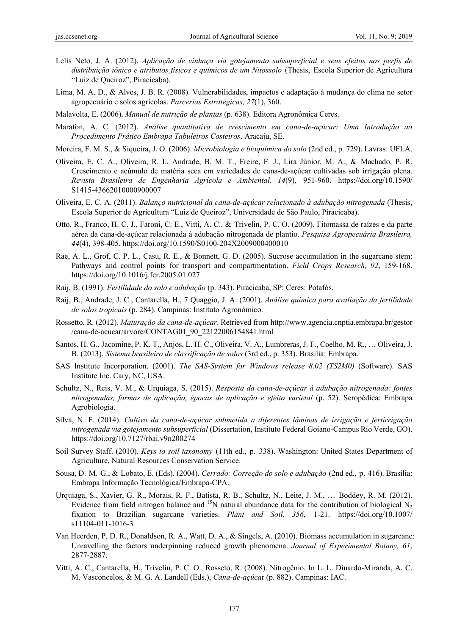- Lelis Neto, J. A. (2012). *Aplicação de vinhaça via gotejamento subsuperficial e seus efeitos nos perfis de distribuição iônico e atributos físicos e químicos de um Nitossolo* (Thesis, Escola Superior de Agricultura "Luiz de Queiroz", Piracicaba).
- Lima, M. A. D., & Alves, J. B. R. (2008). Vulnerabilidades, impactos e adaptação à mudança do clima no setor agropecuário e solos agrícolas. *Parcerias Estratégicas, 27*(1), 360.
- Malavolta, E. (2006). *Manual de nutrição de plantas* (p. 638). Editora Agronômica Ceres.
- Marafon, A. C. (2012). *Análise quantitativa de crescimento em cana-de-açúcar: Uma Introdução ao Procedimento Prático Embrapa Tabuleiros Costeiros*. Aracaju, SE.
- Moreira, F. M. S., & Siqueira, J. O. (2006). *Microbiologia e bioquímica do solo* (2nd ed., p. 729). Lavras: UFLA.
- Oliveira, E. C. A., Oliveira, R. I., Andrade, B. M. T., Freire, F. J., Lira Júnior, M. A., & Machado, P. R. Crescimento e acúmulo de matéria seca em variedades de cana-de-açúcar cultivadas sob irrigação plena. *Revista Brasileira de Engenharia Agrícola e Ambiental, 14*(9), 951-960. https://doi.org/10.1590/ S1415-43662010000900007
- Oliveira, E. C. A. (2011). *Balanço nutricional da cana-de-açúcar relacionado à adubação nitrogenada* (Thesis, Escola Superior de Agricultura "Luiz de Queiroz", Universidade de São Paulo, Piracicaba).
- Otto, R., Franco, H. C. J., Faroni, C. E., Vitti, A. C., & Trivelin, P. C. O. (2009). Fitomassa de raízes e da parte aérea da cana-de-açúcar relacionada à adubação nitrogenada de plantio. *Pesquisa Agropecuária Brasileira, 44*(4), 398-405. https://doi.org/10.1590/S0100-204X2009000400010
- Rae, A. L., Grof, C. P. L., Casu, R. E., & Bonnett, G. D. (2005). Sucrose accumulation in the sugarcane stem: Pathways and control points for transport and compartmentation. *Field Crops Research, 92*, 159-168. https://doi.org/10.1016/j.fcr.2005.01.027
- Raij, B. (1991). *Fertilidade do solo e adubação* (p. 343). Piracicaba, SP: Ceres: Potafós.
- Raij, B., Andrade, J. C., Cantarella, H., 7 Quaggio, J. A. (2001). *Análise química para avaliação da fertilidade de solos tropicais* (p. 284). Campinas: Instituto Agronômico.
- Rossetto, R. (2012). *Maturação da cana-de-açúcar*. Retrieved from http://www.agencia.cnptia.embrapa.br/gestor /cana-de-acucar/arvore/CONTAG01\_90\_22122006154841.html
- Santos, H. G., Jacomine, P. K. T., Anjos, L. H. C., Oliveira, V. A., Lumbreras, J. F., Coelho, M. R., … Oliveira, J. B. (2013). *Sistema brasileiro de classificação de solos* (3rd ed., p. 353). Brasília: Embrapa.
- SAS Institute Incorporation. (2001). *The SAS-System for Windows release 8.02 (TS2M0)* (Software). SAS Institute Inc. Cary, NC, USA.
- Schultz, N., Reis, V. M., & Urquiaga, S. (2015). *Resposta da cana-de-açúcar à adubação nitrogenada: fontes nitrogenadas, formas de aplicação, épocas de aplicação e efeito varietal* (p. 52). Seropédica: Embrapa Agrobiologia.
- Silva, N. F. (2014). *Cultivo da cana-de-açúcar submetida a diferentes lâminas de irrigação e fertirrigação nitrogenada via gotejamento subsuperficial* (Dissertation, Instituto Federal Goiano-Campus Rio Verde, GO). https://doi.org/10.7127/rbai.v9n200274
- Soil Survey Staff. (2010). *Keys to soil taxonomy* (11th ed., p. 338). Washington: United States Department of Agriculture, Natural Resources Conservation Service.
- Sousa, D. M. G., & Lobato, E. (Eds). (2004). *Cerrado: Correção do solo e adubação* (2nd ed., p. 416). Brasília: Embrapa Informação Tecnológica/Embrapa-CPA.
- Urquiaga, S., Xavier, G. R., Morais, R. F., Batista, R. B., Schultz, N., Leite, J. M., … Boddey, R. M. (2012). Evidence from field nitrogen balance and <sup>15</sup>N natural abundance data for the contribution of biological N<sub>2</sub> fixation to Brazilian sugarcane varieties. *Plant and Soil, 356*, 1-21. https://doi.org/10.1007/ s11104-011-1016-3
- Van Heerden, P. D. R., Donaldson, R. A., Watt, D. A., & Singels, A. (2010). Biomass accumulation in sugarcane: Unravelling the factors underpinning reduced growth phenomena. *Journal of Experimental Botany, 61*, 2877-2887.
- Vitti, A. C., Cantarella, H., Trivelin, P. C. O., Rosseto, R. (2008). Nitrogênio. In L. L. Dinardo-Miranda, A. C. M. Vasconcelos, & M. G. A. Landell (Eds.), *Cana-de-açúca*r (p. 882). Campinas: IAC.